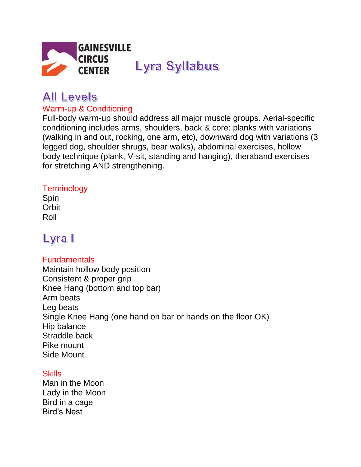

# **All Levels**

### Warm-up & Conditioning

Full-body warm-up should address all major muscle groups. Aerial-specific conditioning includes arms, shoulders, back & core: planks with variations (walking in and out, rocking, one arm, etc), downward dog with variations (3 legged dog, shoulder shrugs, bear walks), abdominal exercises, hollow body technique (plank, V-sit, standing and hanging), theraband exercises for stretching AND strengthening.

### **Terminology**

Spin **Orbit** Roll

# Lyra I

### **Fundamentals**

Maintain hollow body position Consistent & proper grip Knee Hang (bottom and top bar) Arm beats Leg beats Single Knee Hang (one hand on bar or hands on the floor OK) Hip balance Straddle back Pike mount Side Mount

### **Skills**

Man in the Moon Lady in the Moon Bird in a cage Bird's Nest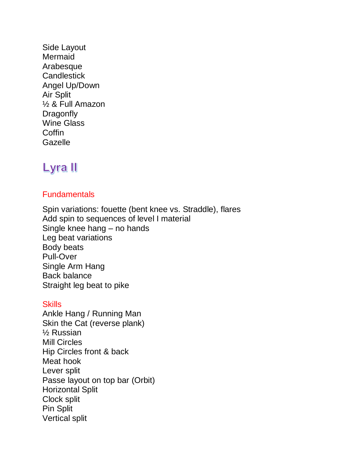Side Layout Mermaid Arabesque **Candlestick** Angel Up/Down Air Split ½ & Full Amazon **Dragonfly** Wine Glass **Coffin Gazelle** 

### Lyra II

### **Fundamentals**

Spin variations: fouette (bent knee vs. Straddle), flares Add spin to sequences of level I material Single knee hang – no hands Leg beat variations Body beats Pull-Over Single Arm Hang Back balance Straight leg beat to pike

#### **Skills**

Ankle Hang / Running Man Skin the Cat (reverse plank) ½ Russian Mill Circles Hip Circles front & back Meat hook Lever split Passe layout on top bar (Orbit) Horizontal Split Clock split Pin Split Vertical split